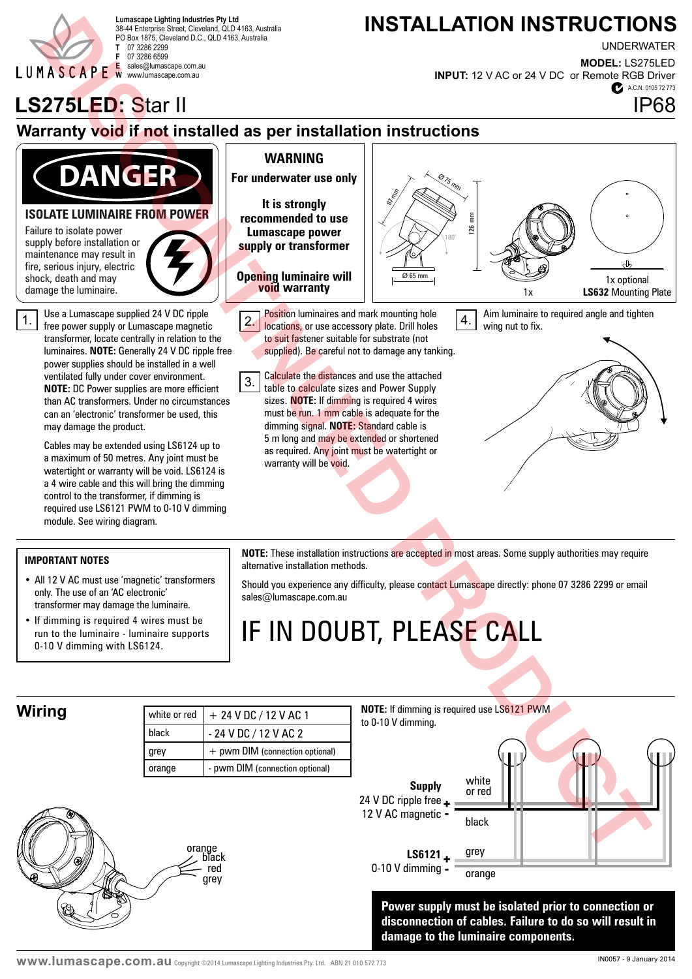

38-44 Enterprise Street, Cleveland, QLD 4163, Australia PO Box 1875, Cleveland D.C., QLD 4163, Australia **T** 07 3286 2299 **F** 07 3286 6599 **E** sales@lumascape.com.au **W** www.lumascape.com.au

## Lumascape Lighting Industries Pty Ltd<br>38.44 Enterprise Street Cleveland OLD.4163 Australia **Lumascape Lighting Industries Pty Ltd**

UNDERWATER

A.C.N. 0105 72 773 **MODEL:** LS275LED **INPUT:** 12 V AC or 24 V DC or Remote RGB Driver

## **LS275LED:** Star II **IP68**

### **Warranty void if not installed as per installation instructions**



#### **ISOLATE LUMINAIRE FROM POWER**

Failure to isolate power supply before installation or maintenance may result in fire, serious injury, electric shock, death and may



Use a Lumascape supplied 24 V DC ripple free power supply or Lumascape magnetic transformer, locate centrally in relation to the luminaires. **NOTE:** Generally 24 V DC ripple free power supplies should be installed in a well ventilated fully under cover environment. **NOTE:** DC Power supplies are more efficient than AC transformers. Under no circumstances can an 'electronic' transformer be used, this may damage the product.

Cables may be extended using LS6124 up to a maximum of 50 metres. Any joint must be watertight or warranty will be void. LS6124 is a 4 wire cable and this will bring the dimming control to the transformer, if dimming is required use LS6121 PWM to 0-10 V dimming module. See wiring diagram.

• All 12 V AC must use 'magnetic' transformers

only. The use of an 'AC electronic' transformer may damage the luminaire. • If dimming is required 4 wires must be run to the luminaire - luminaire supports

0-10 V dimming with LS6124.

**IMPORTANT NOTES**

#### **WARNING**

**For underwater use only**

**It is strongly recommended to use Lumascape power supply or transformer**

**Opening luminaire will void warranty**

Position luminaires and mark mounting hole 1. Free power supply or Lumascape magnetic **2.** locations, or use accessory plate. Drill holes **1.** to suit fastener suitable for substrate (not supplied). Be careful not to damage any tanking.

> Calculate the distances and use the attached table to calculate sizes and Power Supply sizes. **NOTE:** If dimming is required 4 wires must be run. 1 mm cable is adequate for the dimming signal. **NOTE:** Standard cable is 5 m long and may be extended or shortened as required. Any joint must be watertight or warranty will be void. 3.



Aim luminaire to required angle and tighten wing nut to fix.



**NOTE:** These installation instructions are accepted in most areas. Some supply authorities may require alternative installation methods.

Should you experience any difficulty, please contact Lumascape directly: phone 07 3286 2299 or email sales@lumascape.com.au

# IF IN DOUBT, PLEASE CALL

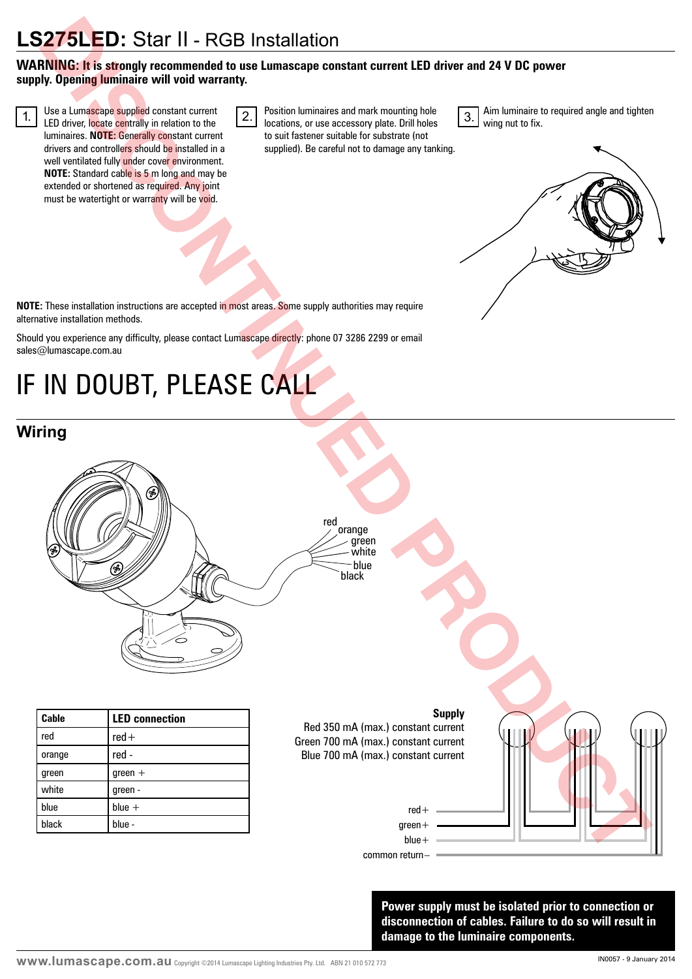## **LS275LED:** Star II - RGB Installation

#### **WARNING: It is strongly recommended to use Lumascape constant current LED driver and 24 V DC power supply. Opening luminaire will void warranty.**

LED driver, locate centrally in relation to the luminaires. **NOTE:** Generally constant current drivers and controllers should be installed in a well ventilated fully under cover environment. **NOTE:** Standard cable is 5 m long and may be extended or shortened as required. Any joint must be watertight or warranty will be void.

 $\overline{1.}$  Use a Lumascape supplied constant current  $\overline{2.}$  Position luminaires and mark mounting hole  $\overline{3.}$ locations, or use accessory plate. Drill holes to suit fastener suitable for substrate (not supplied). Be careful not to damage any tanking.

Aim luminaire to required angle and tighten wing nut to fix.



**NOTE:** These installation instructions are accepted in most areas. Some supply authorities may require alternative installation methods.

Should you experience any difficulty, please contact Lumascape directly: phone 07 3286 2299 or email sales@lumascape.com.au

# IF IN DOUBT, PLEASE CALL

### **Wiring**



**Power supply must be isolated prior to connection or disconnection of cables. Failure to do so will result in damage to the luminaire components.**